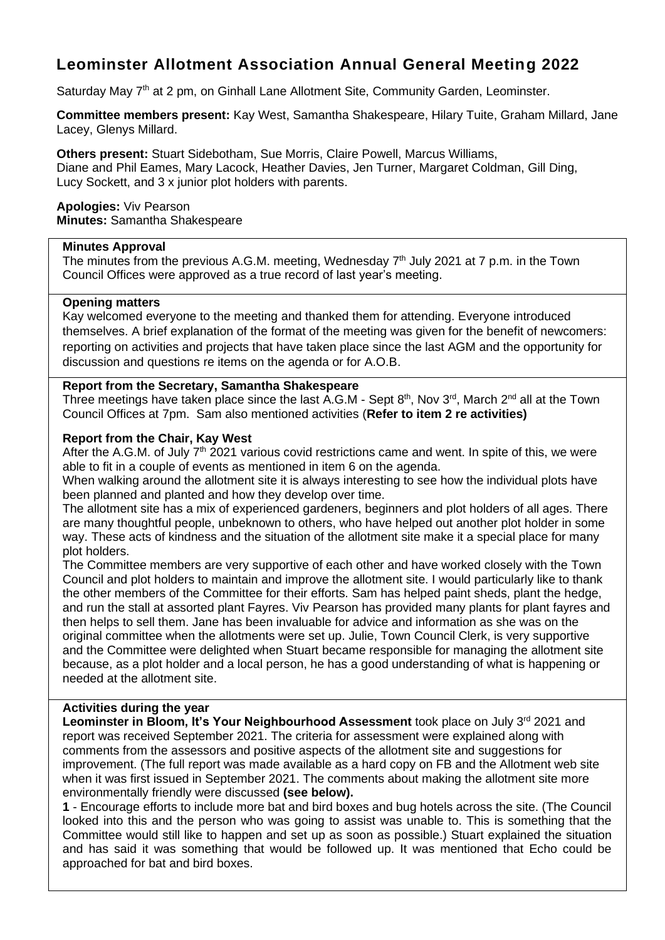# **Leominster Allotment Association Annual General Meeting 2022**

Saturday May 7<sup>th</sup> at 2 pm, on Ginhall Lane Allotment Site, Community Garden, Leominster.

**Committee members present:** Kay West, Samantha Shakespeare, Hilary Tuite, Graham Millard, Jane Lacey, Glenys Millard.

**Others present:** Stuart Sidebotham, Sue Morris, Claire Powell, Marcus Williams, Diane and Phil Eames, Mary Lacock, Heather Davies, Jen Turner, Margaret Coldman, Gill Ding, Lucy Sockett, and 3 x junior plot holders with parents.

**Apologies:** Viv Pearson **Minutes:** Samantha Shakespeare

#### **Minutes Approval**

The minutes from the previous A.G.M. meeting, Wednesday  $7<sup>th</sup>$  July 2021 at 7 p.m. in the Town Council Offices were approved as a true record of last year's meeting.

## **Opening matters**

Kay welcomed everyone to the meeting and thanked them for attending. Everyone introduced themselves. A brief explanation of the format of the meeting was given for the benefit of newcomers: reporting on activities and projects that have taken place since the last AGM and the opportunity for discussion and questions re items on the agenda or for A.O.B.

## **Report from the Secretary, Samantha Shakespeare**

Three meetings have taken place since the last A.G.M - Sept  $8<sup>th</sup>$ , Nov 3<sup>rd</sup>, March 2<sup>nd</sup> all at the Town Council Offices at 7pm. Sam also mentioned activities (**Refer to item 2 re activities)**

## **Report from the Chair, Kay West**

After the A.G.M. of July  $7<sup>th</sup>$  2021 various covid restrictions came and went. In spite of this, we were able to fit in a couple of events as mentioned in item 6 on the agenda.

When walking around the allotment site it is always interesting to see how the individual plots have been planned and planted and how they develop over time.

The allotment site has a mix of experienced gardeners, beginners and plot holders of all ages. There are many thoughtful people, unbeknown to others, who have helped out another plot holder in some way. These acts of kindness and the situation of the allotment site make it a special place for many plot holders.

The Committee members are very supportive of each other and have worked closely with the Town Council and plot holders to maintain and improve the allotment site. I would particularly like to thank the other members of the Committee for their efforts. Sam has helped paint sheds, plant the hedge, and run the stall at assorted plant Fayres. Viv Pearson has provided many plants for plant fayres and then helps to sell them. Jane has been invaluable for advice and information as she was on the original committee when the allotments were set up. Julie, Town Council Clerk, is very supportive and the Committee were delighted when Stuart became responsible for managing the allotment site because, as a plot holder and a local person, he has a good understanding of what is happening or needed at the allotment site.

## **Activities during the year**

Leominster in Bloom, It's Your Neighbourhood Assessment took place on July 3<sup>rd</sup> 2021 and report was received September 2021. The criteria for assessment were explained along with comments from the assessors and positive aspects of the allotment site and suggestions for improvement. (The full report was made available as a hard copy on FB and the Allotment web site when it was first issued in September 2021. The comments about making the allotment site more environmentally friendly were discussed **(see below).**

**1** - Encourage efforts to include more bat and bird boxes and bug hotels across the site. (The Council looked into this and the person who was going to assist was unable to. This is something that the Committee would still like to happen and set up as soon as possible.) Stuart explained the situation and has said it was something that would be followed up. It was mentioned that Echo could be approached for bat and bird boxes.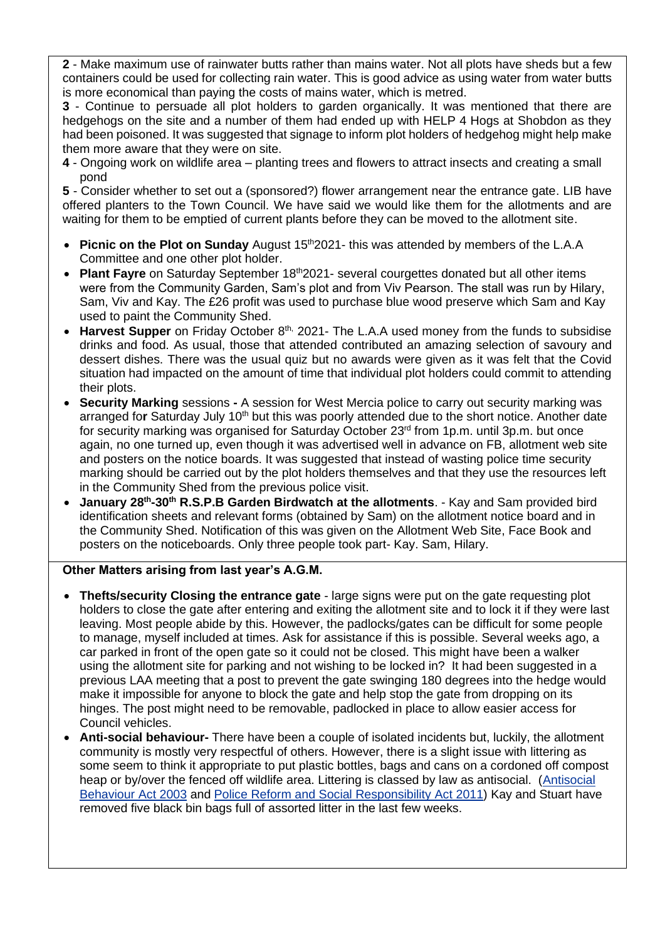**2** - Make maximum use of rainwater butts rather than mains water. Not all plots have sheds but a few containers could be used for collecting rain water. This is good advice as using water from water butts is more economical than paying the costs of mains water, which is metred.

**3** - Continue to persuade all plot holders to garden organically. It was mentioned that there are hedgehogs on the site and a number of them had ended up with HELP 4 Hogs at Shobdon as they had been poisoned. It was suggested that signage to inform plot holders of hedgehog might help make them more aware that they were on site.

**4** - Ongoing work on wildlife area – planting trees and flowers to attract insects and creating a small pond

**5** - Consider whether to set out a (sponsored?) flower arrangement near the entrance gate. LIB have offered planters to the Town Council. We have said we would like them for the allotments and are waiting for them to be emptied of current plants before they can be moved to the allotment site.

- **Picnic on the Plot on Sunday** August 15<sup>th</sup> 2021- this was attended by members of the L.A.A Committee and one other plot holder.
- Plant Fayre on Saturday September 18<sup>th</sup>2021- several courgettes donated but all other items were from the Community Garden, Sam's plot and from Viv Pearson. The stall was run by Hilary, Sam, Viv and Kay. The £26 profit was used to purchase blue wood preserve which Sam and Kay used to paint the Community Shed.
- Harvest Supper on Friday October 8<sup>th,</sup> 2021- The L.A.A used money from the funds to subsidise drinks and food. As usual, those that attended contributed an amazing selection of savoury and dessert dishes. There was the usual quiz but no awards were given as it was felt that the Covid situation had impacted on the amount of time that individual plot holders could commit to attending their plots.
- **Security Marking** sessions **-** A session for West Mercia police to carry out security marking was arranged for Saturday July 10<sup>th</sup> but this was poorly attended due to the short notice. Another date for security marking was organised for Saturday October 23<sup>rd</sup> from 1p.m. until 3p.m. but once again, no one turned up, even though it was advertised well in advance on FB, allotment web site and posters on the notice boards. It was suggested that instead of wasting police time security marking should be carried out by the plot holders themselves and that they use the resources left in the Community Shed from the previous police visit.
- **January 28th -30th R.S.P.B Garden Birdwatch at the allotments**. Kay and Sam provided bird identification sheets and relevant forms (obtained by Sam) on the allotment notice board and in the Community Shed. Notification of this was given on the Allotment Web Site, Face Book and posters on the noticeboards. Only three people took part- Kay. Sam, Hilary.

## **Other Matters arising from last year's A.G.M.**

- **Thefts/security Closing the entrance gate** large signs were put on the gate requesting plot holders to close the gate after entering and exiting the allotment site and to lock it if they were last leaving. Most people abide by this. However, the padlocks/gates can be difficult for some people to manage, myself included at times. Ask for assistance if this is possible. Several weeks ago, a car parked in front of the open gate so it could not be closed. This might have been a walker using the allotment site for parking and not wishing to be locked in? It had been suggested in a previous LAA meeting that a post to prevent the gate swinging 180 degrees into the hedge would make it impossible for anyone to block the gate and help stop the gate from dropping on its hinges. The post might need to be removable, padlocked in place to allow easier access for Council vehicles.
- **Anti-social behaviour-** There have been a couple of isolated incidents but, luckily, the allotment community is mostly very respectful of others. However, there is a slight issue with littering as some seem to think it appropriate to put plastic bottles, bags and cans on a cordoned off compost heap or by/over the fenced off wildlife area. Littering is classed by law as antisocial. [\(Antisocial](http://www.legislation.gov.uk/ukpga/2003/38/contents) [Behaviour](http://www.legislation.gov.uk/ukpga/2003/38/contents) Act 2003 and Police Reform and Social [Responsibility](http://www.legislation.gov.uk/ukpga/2011/13/contents/enacted/data.htm) Act 2011) Kay and Stuart have removed five black bin bags full of assorted litter in the last few weeks.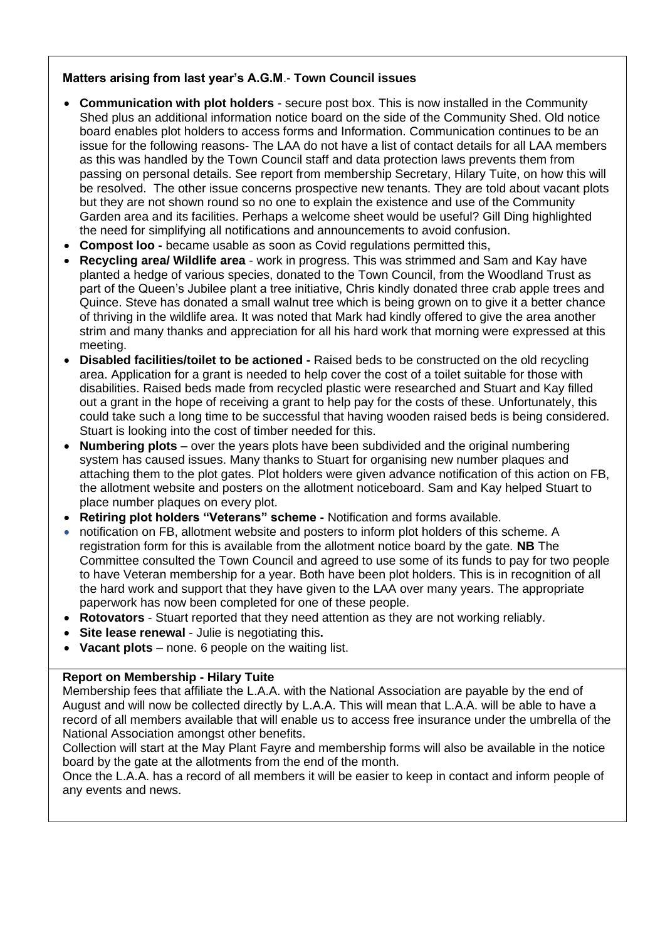# **Matters arising from last year's A.G.M**.- **Town Council issues**

- **Communication with plot holders** secure post box. This is now installed in the Community Shed plus an additional information notice board on the side of the Community Shed. Old notice board enables plot holders to access forms and Information. Communication continues to be an issue for the following reasons- The LAA do not have a list of contact details for all LAA members as this was handled by the Town Council staff and data protection laws prevents them from passing on personal details. See report from membership Secretary, Hilary Tuite, on how this will be resolved. The other issue concerns prospective new tenants. They are told about vacant plots but they are not shown round so no one to explain the existence and use of the Community Garden area and its facilities. Perhaps a welcome sheet would be useful? Gill Ding highlighted the need for simplifying all notifications and announcements to avoid confusion.
- **Compost loo -** became usable as soon as Covid regulations permitted this,
- **Recycling area/ Wildlife area** work in progress. This was strimmed and Sam and Kay have planted a hedge of various species, donated to the Town Council, from the Woodland Trust as part of the Queen's Jubilee plant a tree initiative, Chris kindly donated three crab apple trees and Quince. Steve has donated a small walnut tree which is being grown on to give it a better chance of thriving in the wildlife area. It was noted that Mark had kindly offered to give the area another strim and many thanks and appreciation for all his hard work that morning were expressed at this meeting.
- **Disabled facilities/toilet to be actioned -** Raised beds to be constructed on the old recycling area. Application for a grant is needed to help cover the cost of a toilet suitable for those with disabilities. Raised beds made from recycled plastic were researched and Stuart and Kay filled out a grant in the hope of receiving a grant to help pay for the costs of these. Unfortunately, this could take such a long time to be successful that having wooden raised beds is being considered. Stuart is looking into the cost of timber needed for this.
- **Numbering plots** over the years plots have been subdivided and the original numbering system has caused issues. Many thanks to Stuart for organising new number plaques and attaching them to the plot gates. Plot holders were given advance notification of this action on FB, the allotment website and posters on the allotment noticeboard. Sam and Kay helped Stuart to place number plaques on every plot.
- **Retiring plot holders "Veterans" scheme -** Notification and forms available.
- notification on FB, allotment website and posters to inform plot holders of this scheme. A registration form for this is available from the allotment notice board by the gate. **NB** The Committee consulted the Town Council and agreed to use some of its funds to pay for two people to have Veteran membership for a year. Both have been plot holders. This is in recognition of all the hard work and support that they have given to the LAA over many years. The appropriate paperwork has now been completed for one of these people.
- **Rotovators** Stuart reported that they need attention as they are not working reliably.
- **Site lease renewal** Julie is negotiating this**.**
- **Vacant plots** none. 6 people on the waiting list.

## **Report on Membership - Hilary Tuite**

Membership fees that affiliate the L.A.A. with the National Association are payable by the end of August and will now be collected directly by L.A.A. This will mean that L.A.A. will be able to have a record of all members available that will enable us to access free insurance under the umbrella of the National Association amongst other benefits.

Collection will start at the May Plant Fayre and membership forms will also be available in the notice board by the gate at the allotments from the end of the month.

Once the L.A.A. has a record of all members it will be easier to keep in contact and inform people of any events and news.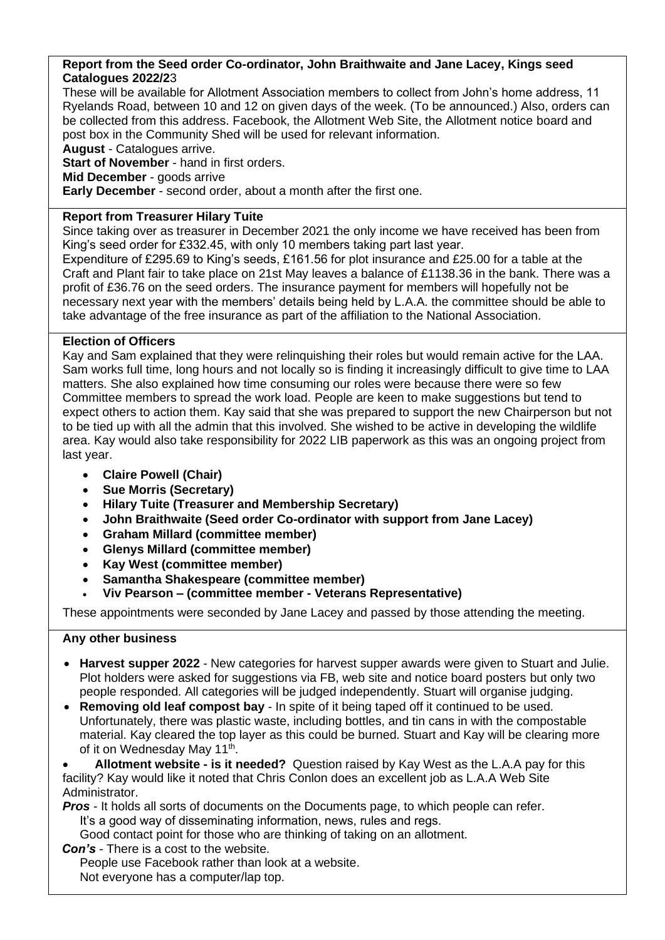## **Report from the Seed order Co-ordinator, John Braithwaite and Jane Lacey, Kings seed Catalogues 2022/2**3

These will be available for Allotment Association members to collect from John's home address, 11 Ryelands Road, between 10 and 12 on given days of the week. (To be announced.) Also, orders can be collected from this address. Facebook, the Allotment Web Site, the Allotment notice board and post box in the Community Shed will be used for relevant information.

**August** - Catalogues arrive.

**Start of November** - hand in first orders.

**Mid December** - goods arrive

**Early December** - second order, about a month after the first one.

## **Report from Treasurer Hilary Tuite**

Since taking over as treasurer in December 2021 the only income we have received has been from King's seed order for £332.45, with only 10 members taking part last year.

Expenditure of £295.69 to King's seeds, £161.56 for plot insurance and £25.00 for a table at the Craft and Plant fair to take place on 21st May leaves a balance of £1138.36 in the bank. There was a profit of £36.76 on the seed orders. The insurance payment for members will hopefully not be necessary next year with the members' details being held by L.A.A. the committee should be able to take advantage of the free insurance as part of the affiliation to the National Association.

# **Election of Officers**

Kay and Sam explained that they were relinquishing their roles but would remain active for the LAA. Sam works full time, long hours and not locally so is finding it increasingly difficult to give time to LAA matters. She also explained how time consuming our roles were because there were so few Committee members to spread the work load. People are keen to make suggestions but tend to expect others to action them. Kay said that she was prepared to support the new Chairperson but not to be tied up with all the admin that this involved. She wished to be active in developing the wildlife area. Kay would also take responsibility for 2022 LIB paperwork as this was an ongoing project from last year.

- **Claire Powell (Chair)**
- **Sue Morris (Secretary)**
- **Hilary Tuite (Treasurer and Membership Secretary)**
- **John Braithwaite (Seed order Co-ordinator with support from Jane Lacey)**
- **Graham Millard (committee member)**
- **Glenys Millard (committee member)**
- **Kay West (committee member)**
- **Samantha Shakespeare (committee member)**
- **Viv Pearson – (committee member - Veterans Representative)**

These appointments were seconded by Jane Lacey and passed by those attending the meeting.

## **Any other business**

- **Harvest supper 2022** New categories for harvest supper awards were given to Stuart and Julie. Plot holders were asked for suggestions via FB, web site and notice board posters but only two people responded. All categories will be judged independently. Stuart will organise judging.
- **Removing old leaf compost bay** In spite of it being taped off it continued to be used. Unfortunately, there was plastic waste, including bottles, and tin cans in with the compostable material. Kay cleared the top layer as this could be burned. Stuart and Kay will be clearing more of it on Wednesday May 11<sup>th</sup>.

• **Allotment website - is it needed?** Question raised by Kay West as the L.A.A pay for this facility? Kay would like it noted that Chris Conlon does an excellent job as L.A.A Web Site Administrator.

*Pros* - It holds all sorts of documents on the Documents page, to which people can refer. It's a good way of disseminating information, news, rules and regs.

Good contact point for those who are thinking of taking on an allotment.

 *Con's* - There is a cost to the website.

 People use Facebook rather than look at a website. Not everyone has a computer/lap top.